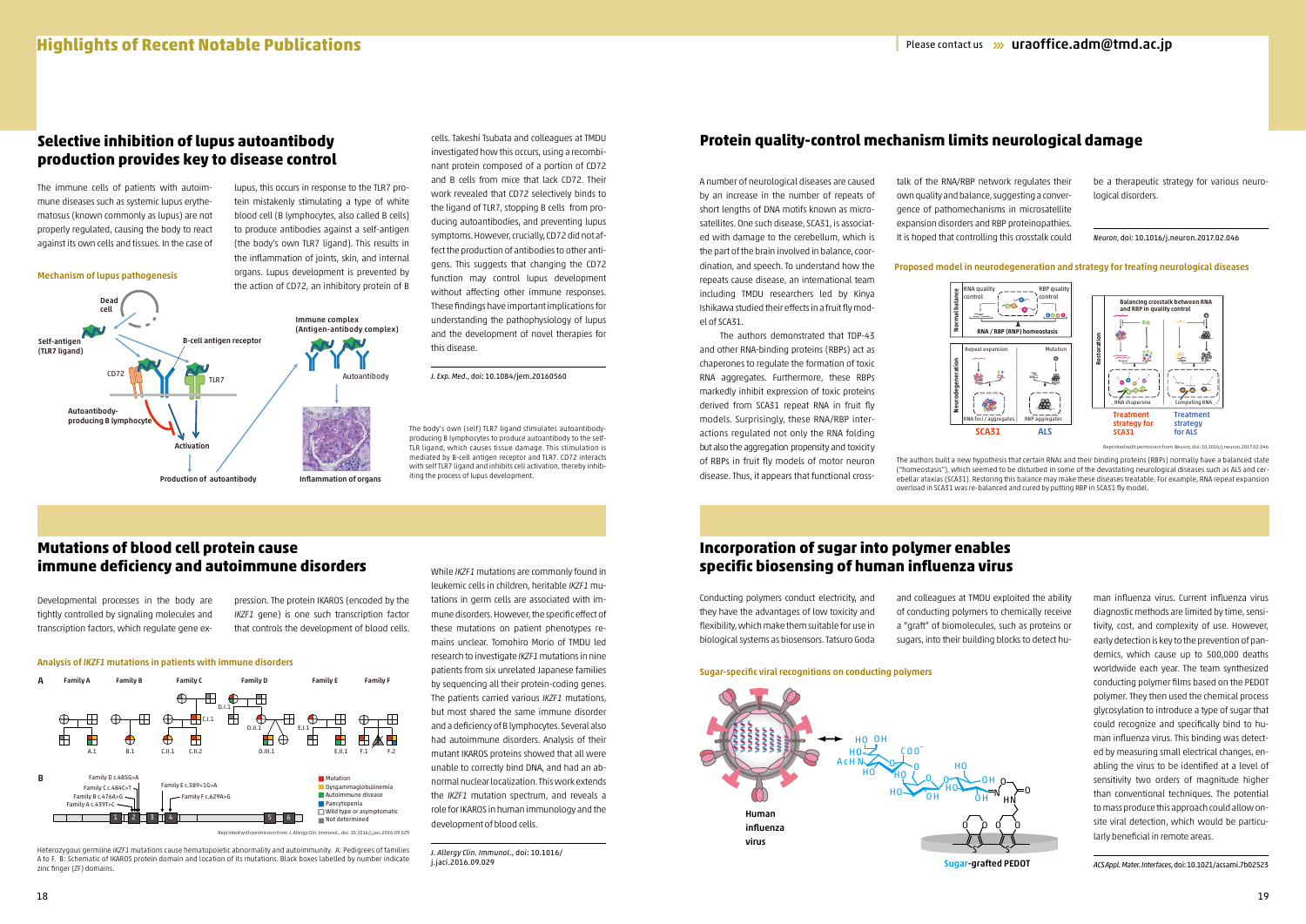



A number of neurological diseases are caused by an increase in the number of repeats of short lengths of DNA motifs known as microsatellites. One such disease, SCA31, is associated with damage to the cerebellum, which is the part of the brain involved in balance, coordination, and speech. To understand how the repeats cause disease, an international team including TMDU researchers led by Kinya Ishikawa studied their effects in a fruit fly model of SCA31.

 The authors demonstrated that TDP-43 and other RNA-binding proteins (RBPs) act as chaperones to regulate the formation of toxic RNA aggregates. Furthermore, these RBPs markedly inhibit expression of toxic proteins derived from SCA31 repeat RNA in fruit fly models. Surprisingly, these RNA/RBP interactions regulated not only the RNA folding but also the aggregation propensity and toxicity of RBPs in fruit fly models of motor neuron disease. Thus, it appears that functional cross-

talk of the RNA/RBP network regulates their own quality and balance, suggesting a convergence of pathomechanisms in microsatellite expansion disorders and RBP proteinopathies. It is hoped that controlling this crosstalk could

be a therapeutic strategy for various neurological disorders.

*Neuron*, doi: 10.1016/j.neuron.2017.02.046

### **Protein quality-control mechanism limits neurological damage**

Developmental processes in the body are tightly controlled by signaling molecules and transcription factors, which regulate gene exConducting polymers conduct electricity, and they have the advantages of low toxicity and flexibility, which make them suitable for use in biological systems as biosensors. Tatsuro Goda

pression. The protein IKAROS (encoded by the *IKZF1* gene) is one such transcription factor that controls the development of blood cells.

Heterozygous germline *IKZF1* mutations cause hematopoietic abnormality and autoimmunity. A: Pedigrees of families A to F. B: Schematic of IKAROS protein domain and location of its mutations. Black boxes labelled by number indicate zinc finger (ZF) domains

and colleagues at TMDU exploited the ability of conducting polymers to chemically receive a "graft" of biomolecules, such as proteins or sugars, into their building blocks to detect hu-

### Sugar-specific viral recognitions on conducting polymers

The authors built a new hypothesis that certain RNAs and their binding proteins (RBPs) normally have a balanced state ("homeostasis"), which seemed to be disturbed in some of the devastating neurological diseases such as ALS and cerebellar ataxias (SCA31). Restoring this balance may make these diseases treatable. For example, RNA repeat expansion overload in SCA31 was re-balanced and cured by putting RBP in SCA31 fly model.

> man influenza virus. Current influenza virus diagnostic methods are limited by time, sensitivity, cost, and complexity of use. However, early detection is key to the prevention of pandemics, which cause up to 500,000 deaths worldwide each year. The team synthesized conducting polymer films based on the PEDOT polymer. They then used the chemical process glycosylation to introduce a type of sugar that could recognize and specifically bind to human influenza virus. This binding was detected by measuring small electrical changes, enabling the virus to be identified at a level of sensitivity two orders of magnitude higher than conventional techniques. The potential to mass produce this approach could allow onsite viral detection, which would be particularly beneficial in remote areas.

While *IKZF1* mutations are commonly found in leukemic cells in children, heritable *IKZF1* mutations in germ cells are associated with immune disorders. However, the specific effect of these mutations on patient phenotypes remains unclear. Tomohiro Morio of TMDU led research to investigate *IKZF1* mutations in nine patients from six unrelated Japanese families by sequencing all their protein-coding genes. The patients carried various *IKZF1* mutations, but most shared the same immune disorder and a deficiency of B lymphocytes. Several also had autoimmune disorders. Analysis of their mutant IKAROS proteins showed that all were unable to correctly bind DNA, and had an abnormal nuclear localization. This work extends the *IKZF1* mutation spectrum, and reveals a role for IKAROS in human immunology and the development of blood cells.

*J. Allergy Clin. Immunol*., doi: 10.1016/ j.jaci.2016.09.029

*ACS Appl. Mater. Interfaces*, doi: 10.1021/acsami.7b02523

The immune cells of patients with autoimmune diseases such as systemic lupus erythematosus (known commonly as lupus) are not properly regulated, causing the body to react against its own cells and tissues. In the case of

lupus, this occurs in response to the TLR7 protein mistakenly stimulating a type of white blood cell (B lymphocytes, also called B cells) to produce antibodies against a self-antigen (the body's own TLR7 ligand). This results in the inflammation of joints, skin, and internal organs. Lupus development is prevented by the action of CD72, an inhibitory protein of B cells. Takeshi Tsubata and colleagues at TMDU

investigated how this occurs, using a recombinant protein composed of a portion of CD72 and B cells from mice that lack CD72. Their work revealed that CD72 selectively binds to the ligand of TLR7, stopping B cells from producing autoantibodies, and preventing lupus symptoms. However, crucially, CD72 did not affect the production of antibodies to other antigens. This suggests that changing the CD72 function may control lupus development without affecting other immune responses. These findings have important implications for understanding the pathophysiology of lupus and the development of novel therapies for this disease.



Reprinted with permission from *J. Allergy Clin. Immunol.,* doi: 10.1016/j.jaci.2016.09.029

*J. Exp. Med*., doi: 10.1084/jem.20160560

# **Selective inhibition of lupus autoantibody production provides key to disease control**

## **Mutations of blood cell protein cause immune deficiency and autoimmune disorders**

# **Incorporation of sugar into polymer enables specific biosensing of human influenza virus**

### Mechanism of lupus pathogenesis

### Proposed model in neurodegeneration and strategy for treating neurological diseases



Sugar-grafted PEDOT



The body's own (self) TLR7 ligand stimulates autoantibodyproducing B lymphocytes to produce autoantibody to the self-TLR ligand, which causes tissue damage. This stimulation is mediated by B-cell antigen receptor and TLR7. CD72 interacts with self TLR7 ligand and inhibits cell activation, thereby inhibiting the process of lupus development.

Reprinted with permission from *Neuron,* doi: 10.1016/j.neuron.2017.02.046